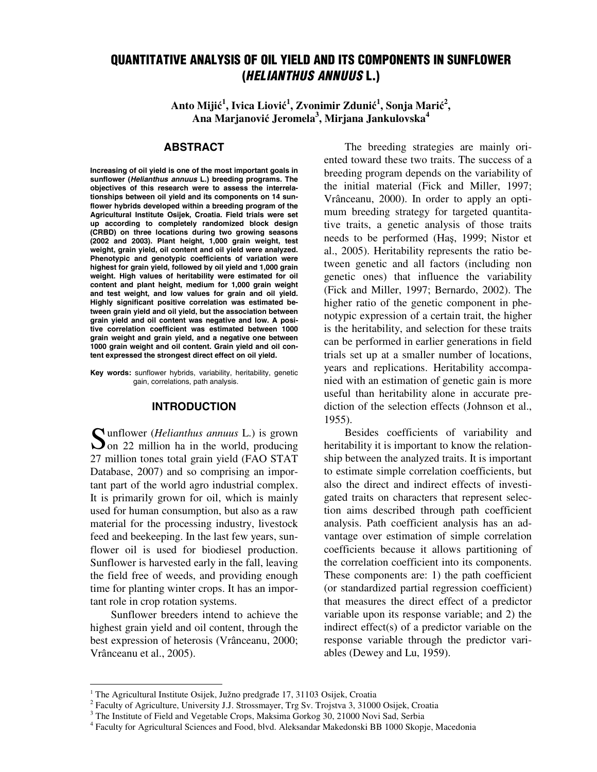# QUANTITATIVE ANALYSIS OF OIL YIELD AND ITS COMPONENTS IN SUNFLOWER (HELIANTHUS ANNUUS L.)

Anto Mijić<sup>1</sup>, Ivica Liović<sup>1</sup>, Zvonimir Zdunić<sup>1</sup>, Sonja Marić<sup>2</sup>, **Ana Marjanovi**ć **Jeromela<sup>3</sup> , Mirjana Jankulovska<sup>4</sup>**

## **ABSTRACT**

Increasing of oil yield is one of the most important goals in sunflower (Helianthus annuus L.) breeding programs. The objectives of this research were to assess the interrelationships between oil yield and its components on 14 sunflower hybrids developed within a breeding program of the Agricultural Institute Osijek, Croatia. Field trials were set up according to completely randomized block design (CRBD) on three locations during two growing seasons (2002 and 2003). Plant height, 1,000 grain weight, test weight, grain yield, oil content and oil yield were analyzed. Phenotypic and genotypic coefficients of variation were highest for grain yield, followed by oil yield and 1,000 grain weight. High values of heritability were estimated for oil content and plant height, medium for 1,000 grain weight and test weight, and low values for grain and oil yield. Highly significant positive correlation was estimated between grain yield and oil yield, but the association between grain yield and oil content was negative and low. A positive correlation coefficient was estimated between 1000 grain weight and grain yield, and a negative one between 1000 grain weight and oil content. Grain yield and oil content expressed the strongest direct effect on oil yield.

Key words**:** sunflower hybrids, variability, heritability, genetic gain, correlations, path analysis.

#### INTRODUCTION

Sunflower (*Helianthus annuus* L.) is grown<br>
Son 22 million ha in the world, producing  $\sum$  on 22 million ha in the world, producing 27 million tones total grain yield (FAO STAT Database, 2007) and so comprising an important part of the world agro industrial complex. It is primarily grown for oil, which is mainly used for human consumption, but also as a raw material for the processing industry, livestock feed and beekeeping. In the last few years, sunflower oil is used for biodiesel production. Sunflower is harvested early in the fall, leaving the field free of weeds, and providing enough time for planting winter crops. It has an important role in crop rotation systems.

Sunflower breeders intend to achieve the highest grain yield and oil content, through the best expression of heterosis (Vrânceanu, 2000; Vrânceanu et al., 2005).

l

The breeding strategies are mainly oriented toward these two traits. The success of a breeding program depends on the variability of the initial material (Fick and Miller, 1997; Vrânceanu, 2000). In order to apply an optimum breeding strategy for targeted quantitative traits, a genetic analysis of those traits needs to be performed (Haş, 1999; Nistor et al., 2005). Heritability represents the ratio between genetic and all factors (including non genetic ones) that influence the variability (Fick and Miller, 1997; Bernardo, 2002). The higher ratio of the genetic component in phenotypic expression of a certain trait, the higher is the heritability, and selection for these traits can be performed in earlier generations in field trials set up at a smaller number of locations, years and replications. Heritability accompanied with an estimation of genetic gain is more useful than heritability alone in accurate prediction of the selection effects (Johnson et al., 1955).

Besides coefficients of variability and heritability it is important to know the relationship between the analyzed traits. It is important to estimate simple correlation coefficients, but also the direct and indirect effects of investigated traits on characters that represent selection aims described through path coefficient analysis. Path coefficient analysis has an advantage over estimation of simple correlation coefficients because it allows partitioning of the correlation coefficient into its components. These components are: 1) the path coefficient (or standardized partial regression coefficient) that measures the direct effect of a predictor variable upon its response variable; and 2) the indirect effect(s) of a predictor variable on the response variable through the predictor variables (Dewey and Lu, 1959).

<sup>&</sup>lt;sup>1</sup> The Agricultural Institute Osijek, Južno predgrađe 17, 31103 Osijek, Croatia

<sup>&</sup>lt;sup>2</sup> Faculty of Agriculture, University J.J. Strossmayer, Trg Sv. Trojstva 3, 31000 Osijek, Croatia

<sup>&</sup>lt;sup>3</sup> The Institute of Field and Vegetable Crops, Maksima Gorkog 30, 21000 Novi Sad, Serbia

<sup>&</sup>lt;sup>4</sup> Faculty for Agricultural Sciences and Food, blvd. Aleksandar Makedonski BB 1000 Skopje, Macedonia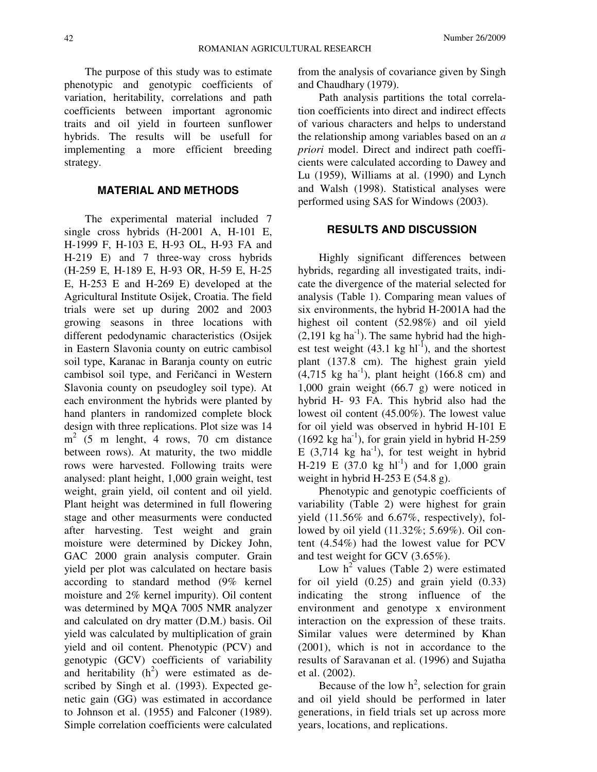The purpose of this study was to estimate phenotypic and genotypic coefficients of variation, heritability, correlations and path coefficients between important agronomic traits and oil yield in fourteen sunflower hybrids. The results will be usefull for implementing a more efficient breeding strategy.

## MATERIAL AND METHODS

The experimental material included 7 single cross hybrids (H-2001 A, H-101 E, H-1999 F, H-103 E, H-93 OL, H-93 FA and H-219 E) and 7 three-way cross hybrids (H-259 E, H-189 E, H-93 OR, H-59 E, H-25 E, H-253 E and H-269 E) developed at the Agricultural Institute Osijek, Croatia. The field trials were set up during 2002 and 2003 growing seasons in three locations with different pedodynamic characteristics (Osijek in Eastern Slavonia county on eutric cambisol soil type, Karanac in Baranja county on eutric cambisol soil type, and Feričanci in Western Slavonia county on pseudogley soil type). At each environment the hybrids were planted by hand planters in randomized complete block design with three replications. Plot size was 14 m<sup>2</sup> (5 m lenght, 4 rows, 70 cm distance between rows). At maturity, the two middle rows were harvested. Following traits were analysed: plant height, 1,000 grain weight, test weight, grain yield, oil content and oil yield. Plant height was determined in full flowering stage and other measurments were conducted after harvesting. Test weight and grain moisture were determined by Dickey John, GAC 2000 grain analysis computer. Grain yield per plot was calculated on hectare basis according to standard method (9% kernel moisture and 2% kernel impurity). Oil content was determined by MQA 7005 NMR analyzer and calculated on dry matter (D.M.) basis. Oil yield was calculated by multiplication of grain yield and oil content. Phenotypic (PCV) and genotypic (GCV) coefficients of variability and heritability  $(h^2)$  were estimated as described by Singh et al. (1993). Expected genetic gain (GG) was estimated in accordance to Johnson et al. (1955) and Falconer (1989). Simple correlation coefficients were calculated

from the analysis of covariance given by Singh and Chaudhary (1979).

Path analysis partitions the total correlation coefficients into direct and indirect effects of various characters and helps to understand the relationship among variables based on an *a priori* model. Direct and indirect path coefficients were calculated according to Dawey and Lu (1959), Williams at al. (1990) and Lynch and Walsh (1998). Statistical analyses were performed using SAS for Windows (2003).

#### RESULTS AND DISCUSSION

Highly significant differences between hybrids, regarding all investigated traits, indicate the divergence of the material selected for analysis (Table 1). Comparing mean values of six environments, the hybrid H-2001A had the highest oil content (52.98%) and oil yield  $(2,191 \text{ kg ha}^{-1})$ . The same hybrid had the highest test weight  $(43.1 \text{ kg } \text{hl}^{-1})$ , and the shortest plant (137.8 cm). The highest grain yield  $(4,715 \text{ kg ha}^{-1})$ , plant height  $(166.8 \text{ cm})$  and 1,000 grain weight (66.7 g) were noticed in hybrid H- 93 FA. This hybrid also had the lowest oil content (45.00%). The lowest value for oil yield was observed in hybrid H-101 E  $(1692 \text{ kg ha}^{-1})$ , for grain yield in hybrid H-259 E  $(3,714 \text{ kg} \text{ ha}^{-1})$ , for test weight in hybrid H-219 E (37.0 kg hl<sup>-1</sup>) and for 1,000 grain weight in hybrid H-253 E  $(54.8 \text{ g})$ .

Phenotypic and genotypic coefficients of variability (Table 2) were highest for grain yield (11.56% and 6.67%, respectively), followed by oil yield (11.32%; 5.69%). Oil content (4.54%) had the lowest value for PCV and test weight for GCV (3.65%).

Low  $h^2$  values (Table 2) were estimated for oil yield (0.25) and grain yield (0.33) indicating the strong influence of the environment and genotype x environment interaction on the expression of these traits. Similar values were determined by Khan (2001), which is not in accordance to the results of Saravanan et al. (1996) and Sujatha et al. (2002).

Because of the low  $h^2$ , selection for grain and oil yield should be performed in later generations, in field trials set up across more years, locations, and replications.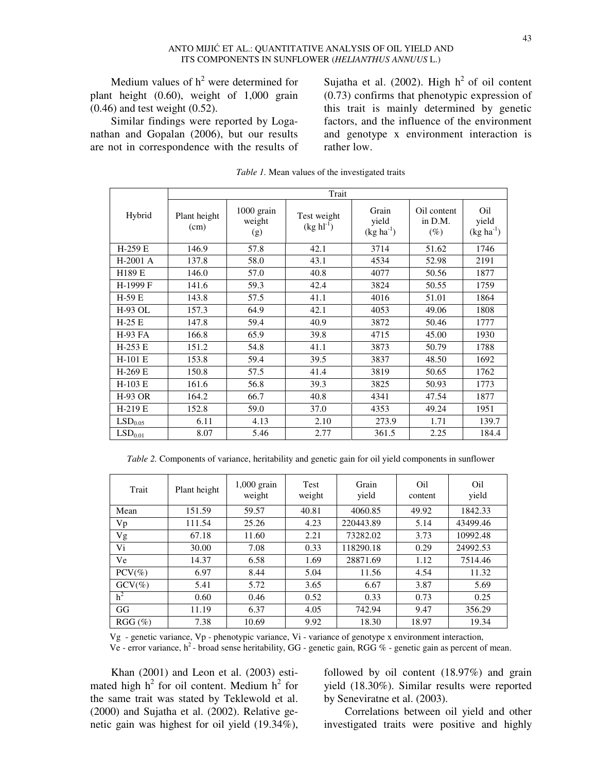Medium values of  $h^2$  were determined for plant height (0.60), weight of 1,000 grain (0.46) and test weight (0.52).

Similar findings were reported by Loganathan and Gopalan (2006), but our results are not in correspondence with the results of

Sujatha et al. (2002). High  $h^2$  of oil content (0.73) confirms that phenotypic expression of this trait is mainly determined by genetic factors, and the influence of the environment and genotype x environment interaction is rather low.

|                     | Trait                |                             |                                   |                               |                                  |                                            |  |  |
|---------------------|----------------------|-----------------------------|-----------------------------------|-------------------------------|----------------------------------|--------------------------------------------|--|--|
| Hybrid              | Plant height<br>(cm) | 1000 grain<br>weight<br>(g) | Test weight<br>$(kg \, h l^{-1})$ | Grain<br>yield<br>$(kg ha-1)$ | Oil content<br>in D.M.<br>$(\%)$ | O <sub>il</sub><br>yield<br>$(kg ha^{-1})$ |  |  |
| H-259 E             | 146.9                | 57.8                        | 42.1                              | 3714                          | 51.62                            | 1746                                       |  |  |
| $H-2001$ A          | 137.8                | 58.0                        | 43.1                              | 4534                          | 52.98                            | 2191                                       |  |  |
| H189 E              | 146.0                | 57.0                        | 40.8                              | 4077                          | 50.56                            | 1877                                       |  |  |
| H-1999 F            | 141.6                | 59.3                        | 42.4                              | 3824                          | 50.55                            | 1759                                       |  |  |
| H-59 E              | 143.8                | 57.5                        | 41.1                              | 4016                          | 51.01                            | 1864                                       |  |  |
| H-93 OL             | 157.3                | 64.9                        | 42.1                              | 4053                          | 49.06                            | 1808                                       |  |  |
| $H-25E$             | 147.8                | 59.4                        | 40.9                              | 3872                          | 50.46                            | 1777                                       |  |  |
| <b>H-93 FA</b>      | 166.8                | 65.9                        | 39.8                              | 4715                          | 45.00                            | 1930                                       |  |  |
| $H-253E$            | 151.2                | 54.8                        | 41.1                              | 3873                          | 50.79                            | 1788                                       |  |  |
| H-101 E             | 153.8                | 59.4                        | 39.5                              | 3837                          | 48.50                            | 1692                                       |  |  |
| H-269 E             | 150.8                | 57.5                        | 41.4                              | 3819                          | 50.65                            | 1762                                       |  |  |
| $H-103E$            | 161.6                | 56.8                        | 39.3                              | 3825                          | 50.93                            | 1773                                       |  |  |
| <b>H-93 OR</b>      | 164.2                | 66.7                        | 40.8                              | 4341                          | 47.54                            | 1877                                       |  |  |
| H-219 E             | 152.8                | 59.0                        | 37.0                              | 4353                          | 49.24                            | 1951                                       |  |  |
| LSD <sub>0.05</sub> | 6.11                 | 4.13                        | 2.10                              | 273.9                         | 1.71                             | 139.7                                      |  |  |
| LSD <sub>0.01</sub> | 8.07                 | 5.46                        | 2.77                              | 361.5                         | 2.25                             | 184.4                                      |  |  |

*Table 1.* Mean values of the investigated traits

*Table 2.* Components of variance, heritability and genetic gain for oil yield components in sunflower

| Trait          | Plant height | $1,000$ grain<br>weight | Test<br>weight | Grain<br>yield | Oil<br>content | O <sub>il</sub><br>yield |
|----------------|--------------|-------------------------|----------------|----------------|----------------|--------------------------|
| Mean           | 151.59       | 59.57                   | 40.81          | 4060.85        | 49.92          | 1842.33                  |
| Vp             | 111.54       | 25.26                   | 4.23           | 220443.89      | 5.14           | 43499.46                 |
| Vg             | 67.18        | 11.60                   | 2.21           | 73282.02       | 3.73           | 10992.48                 |
| Vi             | 30.00        | 7.08                    | 0.33           | 118290.18      | 0.29           | 24992.53                 |
| Ve             | 14.37        | 6.58                    | 1.69           | 28871.69       | 1.12           | 7514.46                  |
| $PCV(\%)$      | 6.97         | 8.44                    | 5.04           | 11.56          | 4.54           | 11.32                    |
| $GCV(\%)$      | 5.41         | 5.72                    | 3.65           | 6.67           | 3.87           | 5.69                     |
| h <sup>2</sup> | 0.60         | 0.46                    | 0.52           | 0.33           | 0.73           | 0.25                     |
| GG             | 11.19        | 6.37                    | 4.05           | 742.94         | 9.47           | 356.29                   |
| $RGG \, (\%)$  | 7.38         | 10.69                   | 9.92           | 18.30          | 18.97          | 19.34                    |

Vg - genetic variance, Vp - phenotypic variance, Vi - variance of genotype x environment interaction, Ve - error variance, h<sup>2</sup> - broad sense heritability, GG - genetic gain, RGG % - genetic gain as percent of mean.

Khan (2001) and Leon et al. (2003) estimated high  $h^2$  for oil content. Medium  $h^2$  for the same trait was stated by Teklewold et al. (2000) and Sujatha et al. (2002). Relative genetic gain was highest for oil yield (19.34%),

followed by oil content (18.97%) and grain yield (18.30%). Similar results were reported by Seneviratne et al. (2003).

Correlations between oil yield and other investigated traits were positive and highly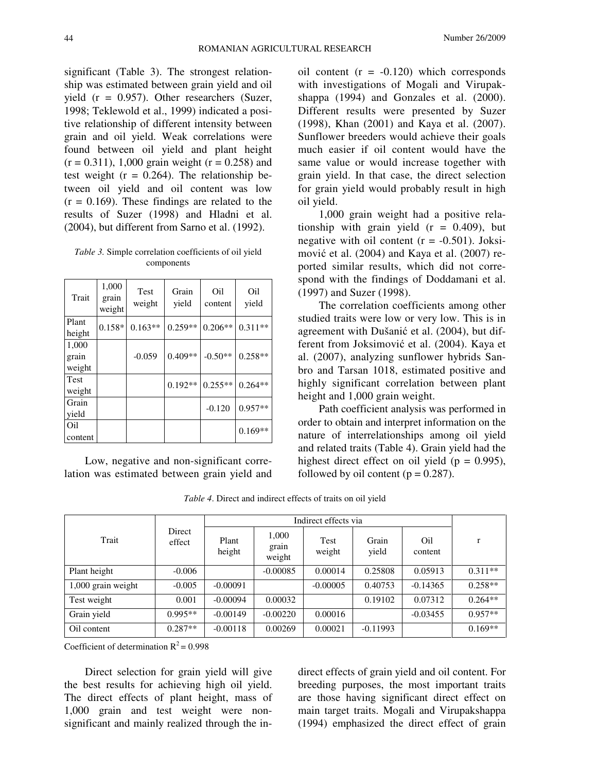significant (Table 3). The strongest relationship was estimated between grain yield and oil yield (r = 0.957). Other researchers (Suzer, 1998; Teklewold et al., 1999) indicated a positive relationship of different intensity between grain and oil yield. Weak correlations were found between oil yield and plant height  $(r = 0.311)$ , 1,000 grain weight  $(r = 0.258)$  and test weight  $(r = 0.264)$ . The relationship between oil yield and oil content was low  $(r = 0.169)$ . These findings are related to the results of Suzer (1998) and Hladni et al. (2004), but different from Sarno et al. (1992).

*Table 3.* Simple correlation coefficients of oil yield components

| Trait                    | 1,000<br>grain<br>weight | Test<br>weight | Grain<br>yield | Oil<br>content | Oi1<br>yield |
|--------------------------|--------------------------|----------------|----------------|----------------|--------------|
| Plant<br>height          | $0.158*$                 | $0.163**$      | $0.259**$      | $0.206**$      | $0.311**$    |
| 1,000<br>grain<br>weight |                          | $-0.059$       | $0.409**$      | $-0.50**$      | $0.258**$    |
| Test<br>weight           |                          |                | $0.192**$      | $0.255**$      | $0.264**$    |
| Grain<br>yield           |                          |                |                | $-0.120$       | $0.957**$    |
| Oil<br>content           |                          |                |                |                | $0.169**$    |

Low, negative and non-significant correlation was estimated between grain yield and

oil content  $(r = -0.120)$  which corresponds with investigations of Mogali and Virupakshappa (1994) and Gonzales et al. (2000). Different results were presented by Suzer (1998), Khan (2001) and Kaya et al. (2007). Sunflower breeders would achieve their goals much easier if oil content would have the same value or would increase together with grain yield. In that case, the direct selection for grain yield would probably result in high oil yield.

1,000 grain weight had a positive relationship with grain yield  $(r = 0.409)$ , but negative with oil content  $(r = -0.501)$ . Joksimović et al. (2004) and Kaya et al. (2007) reported similar results, which did not correspond with the findings of Doddamani et al. (1997) and Suzer (1998).

The correlation coefficients among other studied traits were low or very low. This is in agreement with Dušanić et al. (2004), but different from Joksimović et al. (2004). Kaya et al. (2007), analyzing sunflower hybrids Sanbro and Tarsan 1018, estimated positive and highly significant correlation between plant height and 1,000 grain weight.

Path coefficient analysis was performed in order to obtain and interpret information on the nature of interrelationships among oil yield and related traits (Table 4). Grain yield had the highest direct effect on oil yield ( $p = 0.995$ ), followed by oil content ( $p = 0.287$ ).

*Table 4*. Direct and indirect effects of traits on oil yield

|                    | Direct<br>effect |                 |                          |                |                |                |           |
|--------------------|------------------|-----------------|--------------------------|----------------|----------------|----------------|-----------|
| Trait              |                  | Plant<br>height | 1,000<br>grain<br>weight | Test<br>weight | Grain<br>yield | Oil<br>content | r         |
| Plant height       | $-0.006$         |                 | $-0.00085$               | 0.00014        | 0.25808        | 0.05913        | $0.311**$ |
| 1,000 grain weight | $-0.005$         | $-0.00091$      |                          | $-0.00005$     | 0.40753        | $-0.14365$     | $0.258**$ |
| Test weight        | 0.001            | $-0.00094$      | 0.00032                  |                | 0.19102        | 0.07312        | $0.264**$ |
| Grain yield        | $0.995**$        | $-0.00149$      | $-0.00220$               | 0.00016        |                | $-0.03455$     | $0.957**$ |
| Oil content        | $0.287**$        | $-0.00118$      | 0.00269                  | 0.00021        | $-0.11993$     |                | $0.169**$ |

Coefficient of determination  $R^2$  = 0.998

Direct selection for grain yield will give the best results for achieving high oil yield. The direct effects of plant height, mass of 1,000 grain and test weight were nonsignificant and mainly realized through the in-

direct effects of grain yield and oil content. For breeding purposes, the most important traits are those having significant direct effect on main target traits. Mogali and Virupakshappa (1994) emphasized the direct effect of grain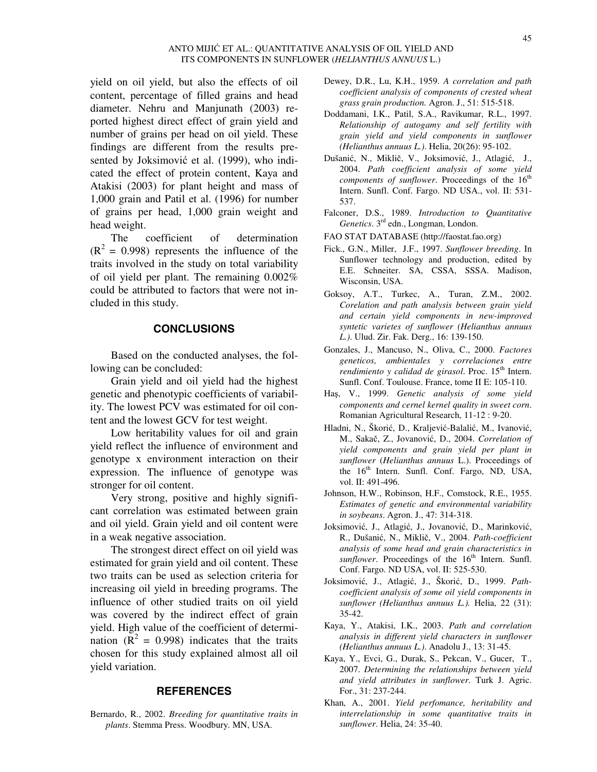#### ANTO MIJIĆ ET AL.: QUANTITATIVE ANALYSIS OF OIL YIELD AND ITS COMPONENTS IN SUNFLOWER (*HELIANTHUS ANNUUS* L.)

yield on oil yield, but also the effects of oil content, percentage of filled grains and head diameter. Nehru and Manjunath (2003) reported highest direct effect of grain yield and number of grains per head on oil yield. These findings are different from the results presented by Joksimović et al. (1999), who indicated the effect of protein content, Kaya and Atakisi (2003) for plant height and mass of 1,000 grain and Patil et al. (1996) for number of grains per head, 1,000 grain weight and head weight.

The coefficient of determination  $(R<sup>2</sup> = 0.998)$  represents the influence of the traits involved in the study on total variability of oil yield per plant. The remaining 0.002% could be attributed to factors that were not included in this study.

### **CONCLUSIONS**

Based on the conducted analyses, the following can be concluded:

Grain yield and oil yield had the highest genetic and phenotypic coefficients of variability. The lowest PCV was estimated for oil content and the lowest GCV for test weight.

Low heritability values for oil and grain yield reflect the influence of environment and genotype x environment interaction on their expression. The influence of genotype was stronger for oil content.

Very strong, positive and highly significant correlation was estimated between grain and oil yield. Grain yield and oil content were in a weak negative association.

The strongest direct effect on oil yield was estimated for grain yield and oil content. These two traits can be used as selection criteria for increasing oil yield in breeding programs. The influence of other studied traits on oil yield was covered by the indirect effect of grain yield. High value of the coefficient of determination ( $R^2 = 0.998$ ) indicates that the traits chosen for this study explained almost all oil yield variation.

#### **REFERENCES**

Bernardo, R., 2002. *Breeding for quantitative traits in plants*. Stemma Press. Woodbury. MN, USA.

- Dewey, D.R., Lu, K.H., 1959. *A correlation and path coefficient analysis of components of crested wheat grass grain production.* Agron. J., 51: 515-518.
- Doddamani, I.K., Patil, S.A., Ravikumar, R.L., 1997. *Relationship of autogamy and self fertility with grain yield and yield components in sunflower (Helianthus annuus L.)*. Helia, 20(26): 95-102.
- Dušanić, N., Miklič, V., Joksimović, J., Atlagić, J., 2004. *Path coefficient analysis of some yield components of sunflower*. Proceedings of the 16<sup>th</sup> Intern. Sunfl. Conf. Fargo. ND USA., vol. II: 531- 537.
- Falconer, D.S., 1989. *Introduction to Quantitative Genetics*. 3rd edn., Longman, London.
- FAO STAT DATABASE (http://faostat.fao.org)
- Fick., G.N., Miller, J.F., 1997. *Sunflower breeding*. In Sunflower technology and production, edited by E.E. Schneiter. SA, CSSA, SSSA. Madison, Wisconsin, USA.
- Goksoy, A.T., Turkec, A., Turan, Z.M., 2002. *Corelation and path analysis between grain yield and certain yield components in new-improved syntetic varietes of sunflower (Helianthus annuus L.)*. Ulud. Zir. Fak. Derg., 16: 139-150.
- Gonzales, J., Mancuso, N., Oliva, C., 2000. *Factores geneticos, ambientales y correlaciones entre rendimiento y calidad de girasol*. Proc. 15<sup>th</sup> Intern. Sunfl. Conf. Toulouse. France, tome II E: 105-110.
- Haş, V., 1999. *Genetic analysis of some yield components and cernel kernel quality in sweet corn*. Romanian Agricultural Research, 11-12 : 9-20.
- Hladni, N., Škorić, D., Kraljević-Balalić, M., Ivanović, M., Sakač, Z., Jovanović, D., 2004. *Correlation of yield components and grain yield per plant in sunflower* (*Helianthus annuus* L.). Proceedings of the  $16<sup>th</sup>$  Intern. Sunfl. Conf. Fargo, ND, USA, vol. II: 491-496.
- Johnson, H.W., Robinson, H.F., Comstock, R.E., 1955. *Estimates of genetic and environmental variability in soybeans*. Agron. J., 47: 314-318.
- Joksimović, J., Atlagić, J., Jovanović, D., Marinković, R., Dušanić, N., Miklič, V., 2004. *Path-coefficient analysis of some head and grain characteristics in*   $sunflower$ . Proceedings of the  $16<sup>th</sup>$  Intern. Sunfl. Conf. Fargo. ND USA, vol. II: 525-530.
- Joksimović, J., Atlagić, J., Škorić, D., 1999. *Pathcoefficient analysis of some oil yield components in sunflower (Helianthus annuus L.).* Helia, 22 (31): 35-42.
- Kaya, Y., Atakisi, I.K., 2003. *Path and correlation analysis in different yield characters in sunflower (Helianthus annuus L.)*. Anadolu J., 13: 31-45.
- Kaya, Y., Evci, G., Durak, S., Pekcan, V., Gucer, T., 2007. *Determining the relationships between yield and yield attributes in sunflower*. Turk J. Agric. For., 31: 237-244.
- Khan, A., 2001. *Yield perfomance, heritability and interrelationship in some quantitative traits in sunflower*. Helia, 24: 35-40.